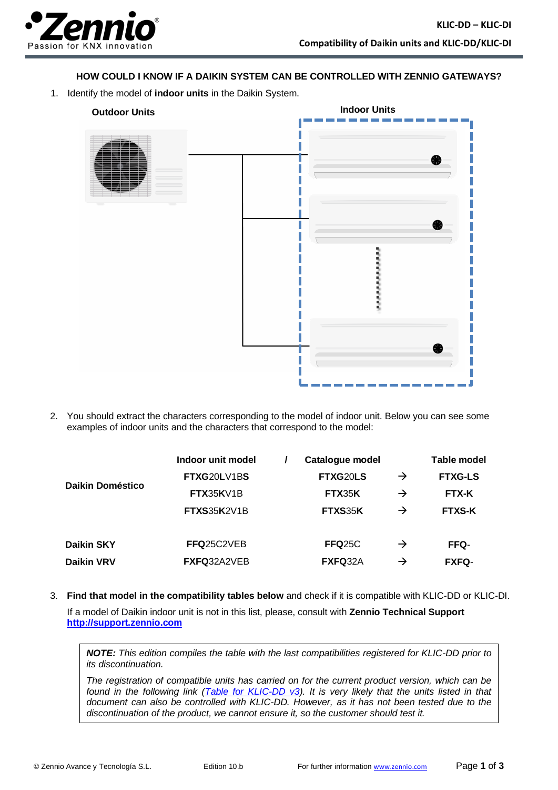

## **HOW COULD I KNOW IF A DAIKIN SYSTEM CAN BE CONTROLLED WITH ZENNIO GATEWAYS?**

1. Identify the model of **indoor units** in the Daikin System.



2. You should extract the characters corresponding to the model of indoor unit. Below you can see some examples of indoor units and the characters that correspond to the model:

|                  | Indoor unit model  | Catalogue model |               | Table model    |
|------------------|--------------------|-----------------|---------------|----------------|
| Daikin Doméstico | FTXG20LV1BS        | FTXG20LS        | $\rightarrow$ | <b>FTXG-LS</b> |
|                  | FTX35KV1B          | FTX35K          | $\rightarrow$ | <b>FTX-K</b>   |
|                  | <b>FTXS35K2V1B</b> | FTXS35K         | $\rightarrow$ | <b>FTXS-K</b>  |
| Daikin SKY       | FFQ25C2VEB         | <b>FFQ25C</b>   | $\rightarrow$ | FFQ-           |
| Daikin VRV       | FXFQ32A2VEB        | FXFQ32A         | $\rightarrow$ | <b>FXFQ-</b>   |

3. **Find that model in the compatibility tables below** and check if it is compatible with KLIC-DD or KLIC-DI. If a model of Daikin indoor unit is not in this list, please, consult with **Zennio Technical Support [http://support.zennio.com](http://support.zennio.com/)**

*NOTE: This edition compiles the table with the last compatibilities registered for KLIC-DD prior to its discontinuation.*

*The registration of compatible units has carried on for the current product version, which can be found in the following link [\(Table for KLIC-DD v3\)](https://www.zennio.com/download/technical_note_klic-dd_v3_di_correspondences_en). It is very likely that the units listed in that document can also be controlled with KLIC-DD. However, as it has not been tested due to the discontinuation of the product, we cannot ensure it, so the customer should test it.*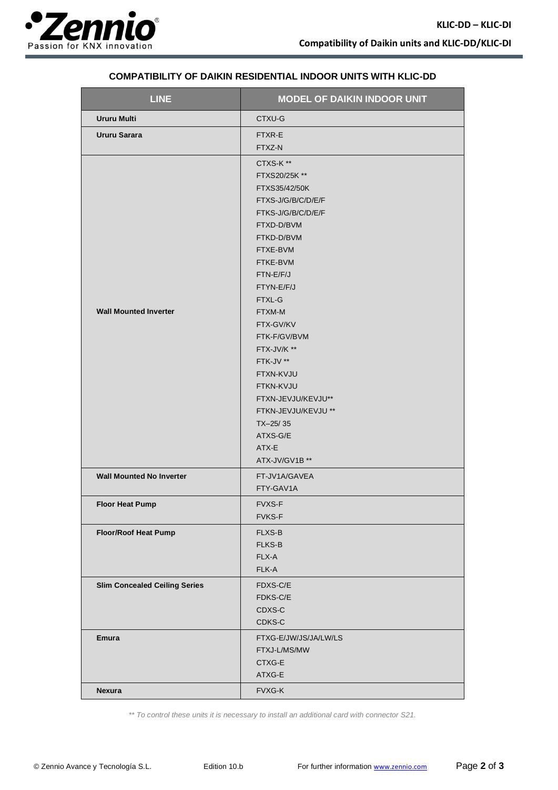

| <b>LINE</b>                          | <b>MODEL OF DAIKIN INDOOR UNIT</b>                                                                                                                                                                                                                                                                                                                                             |
|--------------------------------------|--------------------------------------------------------------------------------------------------------------------------------------------------------------------------------------------------------------------------------------------------------------------------------------------------------------------------------------------------------------------------------|
| <b>Ururu Multi</b>                   | CTXU-G                                                                                                                                                                                                                                                                                                                                                                         |
| Ururu Sarara                         | FTXR-E<br>FTXZ-N                                                                                                                                                                                                                                                                                                                                                               |
| <b>Wall Mounted Inverter</b>         | CTXS-K**<br>FTXS20/25K **<br>FTXS35/42/50K<br>FTXS-J/G/B/C/D/E/F<br>FTKS-J/G/B/C/D/E/F<br>FTXD-D/BVM<br>FTKD-D/BVM<br>FTXE-BVM<br>FTKE-BVM<br>FTN-E/F/J<br>FTYN-E/F/J<br>FTXL-G<br>FTXM-M<br>FTX-GV/KV<br>FTK-F/GV/BVM<br>FTX-JV/K **<br>FTK-JV **<br>FTXN-KVJU<br>FTKN-KVJU<br>FTXN-JEVJU/KEVJU**<br>FTKN-JEVJU/KEVJU **<br>$TX-25/35$<br>ATXS-G/E<br>ATX-E<br>ATX-JV/GV1B ** |
| <b>Wall Mounted No Inverter</b>      | FT-JV1A/GAVEA<br>FTY-GAV1A                                                                                                                                                                                                                                                                                                                                                     |
| <b>Floor Heat Pump</b>               | FVXS-F<br><b>FVKS-F</b>                                                                                                                                                                                                                                                                                                                                                        |
| <b>Floor/Roof Heat Pump</b>          | <b>FLXS-B</b><br><b>FLKS-B</b><br>FLX-A<br>FLK-A                                                                                                                                                                                                                                                                                                                               |
| <b>Slim Concealed Ceiling Series</b> | FDXS-C/E<br>FDKS-C/E<br>CDXS-C<br>CDKS-C                                                                                                                                                                                                                                                                                                                                       |
| <b>Emura</b>                         | FTXG-E/JW/JS/JA/LW/LS<br>FTXJ-L/MS/MW<br>CTXG-E<br>ATXG-E                                                                                                                                                                                                                                                                                                                      |
| Nexura                               | FVXG-K                                                                                                                                                                                                                                                                                                                                                                         |

## **COMPATIBILITY OF DAIKIN RESIDENTIAL INDOOR UNITS WITH KLIC-DD**

*\*\* To control these units it is necessary to install an additional card with connector S21.*